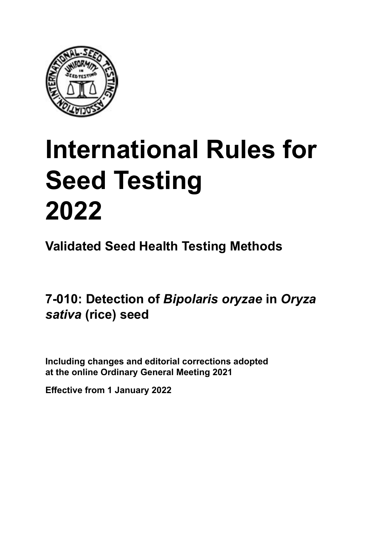

# **International Rules for Seed Testing von Saatgut 2022 2022 Semences 2022 International Rules for Seed Testing 2022**

**Métodos Validados para Análisis de Sanidad de Semillas Validate Méthodes Validées pour Analyse Sanitaire des Semences Validated Seed Health Testing Methods**

7-010: Detection of *Bipolaris oryzae* in *Oryza Oryza sativa* **(arroz) von** *Oryza sativa* **(Reis) de** *Oryza sativa* **(riz)** *sativa* **(rice) seed**

Including changes and editorial corrections adopted at the online Ordinary General Meeting 2021

**Effective from 1 January 2022**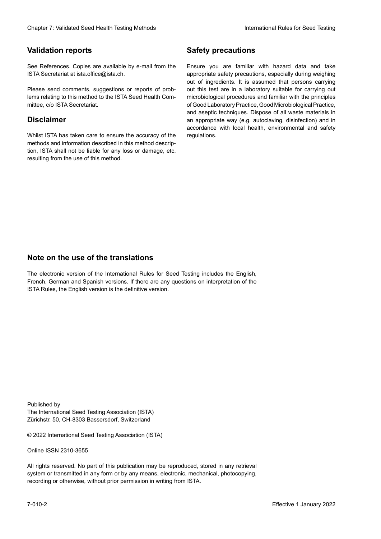#### **Validation reports**

See References. Copies are available by e-mail from the<br>ISTA Secretariat at ista.office@ista.ch. ISTA Secretariat at ista.office@ista.ch.

lems relating to this method to the ISTA Seed Health Com-<br>mittee, c/o ISTA Secretariat. mittee, c/o ISTA Secretariat.<br>i Please send comments, suggestions or reports of prob-

#### **Limitation de responsabilité Disclaimer**

Whilst ISTA has taken care to ensure the accuracy of the<br>methods and information described in this method description, ISTA shall not be liable for any loss or damage, etc.<br>resulting from the use of this method.<br>. resulting from the use of this method. Whilst ISTA has taken care to ensure the accuracy of the methods and information described in this method descrip-<br>tion, ISTA shall not be liable for any loss or damage, etc. tion, ISTA shall not be liable for any loss or damage, etc.<br>resulting from the use of this method.

#### **Medidas de seguridad Sicherheitsmaßnahmen Sécurité Safety precautions**

Ensure you are familiar with hazard data and take Ensure you are familiar with hazard data and take<br>appropriate safety precautions, especially during weighing out of ingredients. It is assumed that persons carrying out this test are in a laboratory suitable for carrying out microbiological procedures and familiar with the principles of Good Laboratory Practice, Good Microbiological Practice, and aseptic techniques. Dispose of all waste materials in an appropriate way (e.g. autoclaving, disinfection) and in accordance with local health, environmental and safety regulations. Glade 7: Validated Deed Health Testing holes by Safety precentions and the Sacrifice Control of the Control of the Control of the Control of the Control of the Control of the Control of the Control of the Control of the Co microbiological procedures and familiar with the principles<br>of Good Laboratory Practice, Good Microbiological Practice,<br>and aseptic techniques. Dispose of all waste materials in<br>an appropriate way (e.g. autoclaving, disinf fallstoffe sind auf geeignete Weise und entsprechend der vor Ort über und Umwelt-<br>Sicherheits- und Umwelt- und Umwelt-Effective Counter of Nicholas Devel Teach Teach Teach Devel Safety precedutions<br>
Validation reports<br>
Safety precedution reports and the symbol state of the sementic of the symbol state of the based delay and share<br>
Propose of Good Laboratory Practice, Good Microbiological Practice,<br>and aseptic techniques. Dispose of all waste materials in<br>an appropriate way (e.g. autoclaving, disinfection) and in Validation reports<br>
Since The Texture 1988 and the system of the Since Theorem and the Since Theorem and the system of the Since The Since The Since The Since The Since The Since The Since The Since The Since The Since The Ensure you are familiar with hazard data and take<br>appropriate safety precautions, especially during weighing<br>out of ingredients. It is assumed that persons carrying<br>out this test are in a laboratory suitable for carrying o

#### **Nota sobre el uso de traducciones Anmerkung zur Benutzung der Übersetzungen Note on the use of the translations**

The electronic version of the International Rules for Seed Testing includes the English, French, German and Spanish versions. If there are any questions on interpretation of the ISTA Rules, the English version is the definitive version. The electronic version of the International Rules for Seed Testing includes the English,<br>French, German and Spanish versions. If there are any questions on interpretation of the<br>ISTA Rules, the English version is the defin The electronic version of the International Rules for Seed Testing includes the English,<br>French, German and Spanish versions. If there are any questions on interpretation of the

Published by **Extending Association (ISTA)** The International Seed Testing Association (ISTA) Zürichstr. 50, CH-8303 Bassersdorf, Switzerland

© 2022 International Seed Testing Association (ISTA)

Alle Rechte vorbehalten. Kein Teil dieses Werkes darf in irgendwelcher Form oder durch Online ISSN 2310-3655

All rights reserved. No part of this publication may be reproduced, stored in any retrieval All rights reserved. No part of this publication may be reproduced, stored in any retrieval<br>system or transmitted in any form or by any means, electronic, mechanical, photocopying,<br>recording or otherwise, without prior per recording or otherwise, without prior permis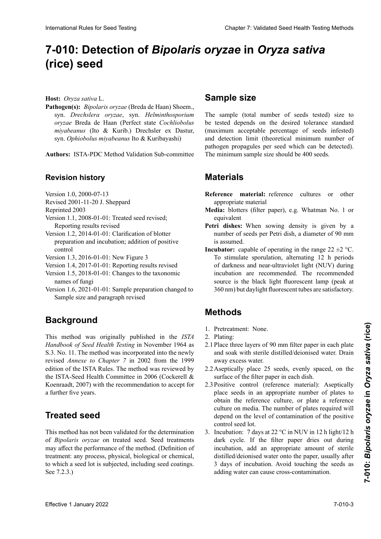## 7-010: Detection of *Bipolaris oryzae* in *Oryza sativa Oryza sativa* **(arroz)** *Oryza sativa***(Reis) (rice) seed**

**Host:** *Oryza sativa* L.

Pathogen(s): *Bipolaris oryzae* (Breda de Haan) Shoem.,<br>syn Drechslerg oryzae syn Helminthosporium syn. *Drechslera oryzae*, syn. *Helminthosporium Drechslera oryzae*, syn. *Helminthosporium oryzae* syn. *Drechslera oryzae*, syn. *Helminthosporium* oryzae Breda de Haan (Perfect state Cochliobolus miyabeanus (Ito & Kurib.) Drechsler ex Dastur, *Ophiobolus miyabeanus* Ito & Kuribayashi)  $\mathcal{L}_{\mathcal{I}}$  in  $\mathcal{L}_{\mathcal{I}}$  index in *miyabeanus* Ito & Kuribayashi) syn. *Ophiobolus miyabeanus* Ito & Kuribayashi)

**Autores:** ISTA-PDC Method Validation Sub-committee **Erstellt durch:** ISTA-PDC Method Validation **Authors: ISTA BDC Mathod Validation Sub committed Authors:** ISTA-PDC Method Validation Sub-committee

#### **Povision bistory Autores**<br>*Autorescubic Method Validation Sub-committee Sub-committee Sub-committee Sub-committee Sub-committee Sub-committee* **Auteurs :** Sous-Comité de Validation des Méthodes de Revision history

- Versión 1.0, 2000-07-13 Version 1.0, 2000-07-13 Version 1.0,  $2000 - 07 - 15$
- Revised 2001-11-20 J. Sheppard
- Reprinted 2003
- $\text{Keprinted } 2003$ Version 1.1, 2008-01-01: Treated seed revised; Reporting results revised
- Version 1.2, 2014-01-01: Clarification of blotter preparation and incubation; addition of positive control
- Version 1.3, 2016-01-01: New Figure 3
- Version 1.4, 2017-01-01: Reporting results revised
- Version 1.5, 2018-01-01: Changes to the taxonomic names of fungi
- Version 1.6, 2021-01-01: Sample preparation changed to Sample size and paragraph revised

#### **Antecedentes Background** » et le paragraphe à « Taille de l'échantillon » et les

This method was originally published in the *ISTA* Handbook of Seed Health Testing in November 1964 as **Hanabook** by Beed Treath Testing in November 1901 as S.3. No. 11. The method was incorporated into the newly revised *Annexe to Chapter 7* in 2002 from the 1999. edition of the ISTA Rules. The method was reviewed by the ISTA-Seed Health Committee in 2006 (Cockerell &  $\frac{1}{2}$  conrect  $\frac{1}{2007}$  with the recommendation to escent for AND IN THE 2007 THE RESOLUTION CONSIDER TO ACCEPT TO  $\frac{1}{2}$  der ISTA-Vorschriften eingefügt. the ISTA-Seed Health Committee in 2006 (Cockerell & Koenraadt, 2007) with the recommendation to accept for a further five years. Here ( $\alpha_{\text{res}}$  autor) . Sample **Size Chimiques (a)** Experiment and the sement of the sement of the proposition of the processus, physique out our chimique of the sement in the sement of the sement in the sement of the s International Rules for Seed Testing Compact Compact Chapter 2: Compact Chapter 2: Compact Chapter 2: Compact Chapter 2: Compact Chapter 2: Compact Chapter 2: Compact Chapter 2: Compact Chapter 2: Compact Chapter 2: Valid Koenraadt, 2007) with the recommendation to accept for a further five years.

#### $\sum_{i=1}^n$  $$ **Treated seed**

*Bipolaris oryzae* en semilla tratada. Los tratamientos a la This method has not been validated for the determination of *Bipolaris oryzae* on treated seed. Seed treatments may affect the performance of the method. (Definition of treatment: any process, physical, biological or chemical, treatment: any process, pnysical, biological or chemical,<br>to which a seed lot is subjected, including seed coatings.  $\text{See } 7.2.3.$ )

#### **Tample size** Natur, dem eine Saatgutpartie unterzogen wird, einschließ-

The sample (total number of seeds tested) size to be tested depends on the desired tolerance standard the usual depends on the desired tolerance standard (maximum acceptable percentage of seeds infested) tadas) y del límite de detección (número mínimo teóri-**Probengröße** and detection limit (theoretical minimum number of and decoded mini- (increased minimum nomber of parrogen propagares per seca which can be accessed. semillas. patrogen propagares per seca which can se accessed. prüften Sample size should be Too seeds. paintegen propagates per seed which can be detected,

#### **Materiales und der Nachweise (theoretische Materials** infektiösen Einheiten pro Samen, die nachgewiesen wercentage maximum accepte de la limite de la limite de propagules de propagules de propagules de propagules de p<br>Materials de l'agent pathogène pathogène pouvant étre détectées (nombre minimum de l'échantillon devrait être

- **Reference inaterial:** reference cultures or other appropriate material den können) ab. Die Mindestprobengröße sollte 400 Sa-**Reference** Reference material: reference cultures or other
- **Media:** blotters (filter paper), e.g. Whatman No. 1 or equivalent
- **Petri dishes:** When sowing density is given by a **Petri dishes:** When sowing density is given by a number of seeds per Petri dish, a diameter of 90 mm is assumed.
- **Incubator:** capable of operating in the range  $22 \pm 2$  °C. To stimulate sporulation, alternating 12 h periods of darkness and near-ultraviolet light (NUV) during incubation are recommended. The recommended source is the black light fluorescent lamp (peak at source is the black light fluorescent lamp (peak at 360 nm) but daylight fluorescent tubes are satisfactory. of darkness and near-ultraviolet light (NUV) during<br>incubation are recommended. The recommended<br>source is the black light fluorescent lamp (peak at

#### **Métodos** sel mit Dunkelheit empfohlen. Die empfohlene Quelle **Methods** source recommandée est la lampe fluorescente lumière noire (pic à 360 nm) mais les tubes fluorescents de jour<br>Se se tubes fluorescents de jours de jours de jours de jours de jours de jours de jours de jours de jours de j

- 1. Pretreatment: None.
- 2. Plating:
- 2.1 Place three layers of 90 mm filter paper in each plate 2.11 These three taryers of 50 mm filter paper in each place and soak with sterile distilled/deionised water. Drain and soak with sterile district deformsed water. Drain<br>away excess water.
- 2.2 Aseptically place 25 seeds, evenly spaced, on the  $\frac{1}{2}$  surface of the filter paper in each dish.
- 2.3 Positive control (reference material): Aseptically place seeds in an appropriate number of plates to obtain the reference culture, or plate a reference place a reference culture, or place a reference culture on media. The number of plates required will vunur on media. The number of plates required will depend on the level of contamination of the positive  $\frac{1}{2}$  de semillas de semillas de semillas de semillas de semillas de semillas de semillas de semillas de semillas de semillas de semillas de semillas de semillas de semillas de semillas de semillas de semillas de semi 2.2 Unter sterilen Bedingungen 25 Samen je Platte gleichdepend on the fever of comanimatic  $2.3 \times 1.4 \times 7.1 \times 22.001 \times 10^{11} \times 10^{10} \text{m}$  $m_{\text{max}}$  espace du papier du participal du papier filtre du papier du papier du papier du papier du papier du papier du papier du papier du papier du papier du papier du papier du papier du papier du papier du papier du depend on the level of contamination of the positive control seed lot.
- 3. Incubation: 7 days at 22 °C m NO v m 12 m ngm 12 n dark cycle. If the filter paper dries out during incubation, add an appropriate amount of sterile distilled/deionised water onto the paper, usually after 3 days of incubation. Avoid touching the seeds as 3 days of incubation. Avoid touching the seeds as adding water can cause cross-contamination.  $\frac{1}{2}$  Bedingungen die Samen in einer einer einer einer einer einer einer Eine ana-3. Incubation: 7 days at 22  $^{\circ}$ C in NUV in 12 h light/12 h dark cycle. If the filter paper dries out during incubation, add an appropriate amount of sterile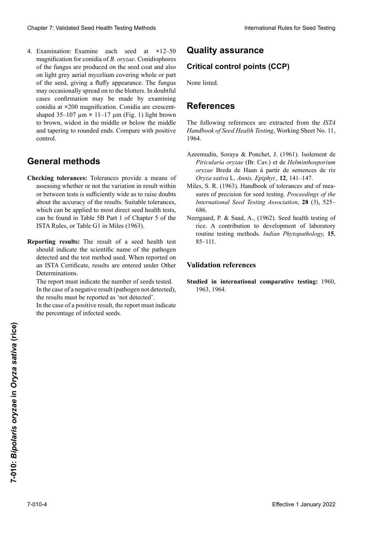4. Examination: Examine each seed at **×**12–50 magnification for conidia of *B. oryzae*. Conidiophores of the fungus are produced on the seed coat and also of the fungus are produced on the seed coat and also<br>on light grey aerial mycelium covering whole or part of the seed, giving a fluffy appearance. The fungus<br>may occasionally spread on to the blotters. In doubtful may occasionally spread on to the blotters. In doubtful<br>cases confirmation may be made by examining cases confirmation may be made by examining conidia at ×200 magnification. Conidia are crescentshaped 35–107  $\mu$ m × 11–17  $\mu$ m (Fig. 1) light brown to brown, widest in the middle or below the middle<br>and tapering to rounded ends. Compare with positive<br>control. and tapering to rounded ends. Compare with positive luna de 35–107 µm **×** 11–17 µm (Fig. 1) de marrón claro a marrón, más anchos en el medio o debajo de bajo de bajo de bajo de bajo de bajo de bajo de bajo de baj<br>Del medio o de bajo de bajo de bajo de bajo de bajo de bajo de bajo de bajo de bajo de bajo de bajo de bajo de Clearlier 2. Validierte Desenvoltion (1. Januar 2022)<br>
Case of the society of Accession and the society of Accession of the Case of the Case of the Case of the Case of the Case of the Case of the Case of the Case of the C nung hat. Der Piliz bei dem Filter aus. In Zweifelsfällen kann zur Bestätig.<br>Control. Cheaper 7 Voltániai Sesel Health Foring Method<br>
4. Exampled on box contained Reverse Contained Reverse Contained Reverse Contained Reverse Contained Reverse Contained Reverse Contained Reverse Contained Reverse Contained control.

#### gung eine Untersuchung der Konigi<br>Such als der Konigien bei 2000-facher Vergrößerung der Konigien bei 2000-facher Vergrößerung erfolgen. Koning geformt, 35–107 **×** 11–17 µm (Abb. 1) groß, hellbraun **General methods**

- **Checking tolerances:** 101eral or between tests is sufficiently wide as to raise doubts about me accuracy of the results. Suitable tolerances, which can be applied to most direct seed health tests, can be found in Table 5B Part 1 of Chapter 5 of the ISTA Rules, or Table G1 in Miles (1963). bis braun, am breitesten in der Mitte oder unterhalb der Checking tolerances: Tolerances provide a means of assessing whether or not the variation in result within<br>or between tests is sufficiently wide as to raise doubts or between tests is sumclemity which as to raise doubts<br>about the accuracy of the results. Suitable tolerances, assessing whether or not the variation in result within
- Reporting results: The result of a seed health test porting results: The result of a seed health test<br>should indicate the scientific name of the pathogen detected and the test method used. When reported on Determinations. detected and the test method used. When reported on<br>an ISTA Certificate, results are entered under Other

The report must indicate the number of seeds tested. Determinations.<br>The report must indicate the number of seeds tested.<br>In the case of a negative result (pathogen not detected), the results must be reported as 'not detected'. In the case of a negative result (pathogen not detected), the results must be reported as 'not detected'.

In the case of a positive result, the report must indicate the percentage of infected seeds.

### **Quality assurance quality**

# **Quality assurance<br>Critical control points (CCP)**

None listed.

## **Referencias Qualitätssicherung Références References**

The following references are extracted from the ISTA *Handbook of Seed Health Testing*, Working Sheet No. 11, 1964. Keine. 1964.  $\mathcal{L}$ 

- Azeemudin, Soraya & Ponchet, J. (1961). Isolement de *Piricularia oryzae* (Br. Cav.) et de *Helminthosporium oryzae* Breda de Haan à partir de semences de riz Azeemudin, Soraya & Ponchet, J. (1961). Isolement de Azeemuan, Soraya & Ponchet, J. (1961). Isolement de *Piricularia oryzae* (Br. Cav.) et de *Helminthosporium oryzae* Breda de Haan à partir de semences de riz *Oryza sativa* L. *Annis. Epiphyt.,* **12**, 141–147. *oryzae* Breda de Haan à partir de semences de riz oryza sativa L. Annis. Epiphyt., 12, 141–147.
- *Miles, B. (1963).* Handbook of mea-<br>*Handbook of mea- Handbook* of Mea- 1, Core sures of precision for seed testing. *Proceedings of the*  sures of precision for seed testing. *Proceedings of the International Seed Testing <i>Proceedings of the* mernational seed Testing Association, 28 (5), 325– neergaard, P. & Saad, A., (1962). Seed health testing of testing of the seed health testing of the seed health testing of the seed health testing of the seed health testing of the seed health testing of the seed health tes See Sauva E. Annis. *Pronyt.*, **12**, **141–147**.<br>Miles, S. R. (1963). Handbook of tolerances and of mea-686. *International Seed Testing Association*, **28** (3), 525– 686.
- oso.<br>ergaard, P. & Saad, A., (1962). Seed health testing of rice. A contribution to development of laboratory routine testing methods. *Indian Phytopathology*, 15,  $85-111.$ neerhaltonal seed Testing Association, 28 (5), 325–686.<br>Neergaard, P. & Saad, A., (1962). Seed health testing of rice. A contribution to development of laboratory Neergaard, P. & Saad, A., (1962). Seed health testing of 85–111.

#### **Validation references**

**Studied in international comparative testing:** 1960, 1963, 1964. 1963, 1964.